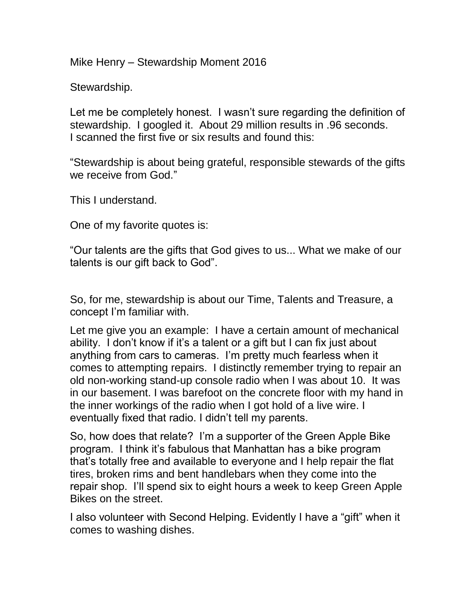Mike Henry – Stewardship Moment 2016

Stewardship.

Let me be completely honest. I wasn't sure regarding the definition of stewardship. I googled it. About 29 million results in .96 seconds. I scanned the first five or six results and found this:

"Stewardship is about being grateful, responsible stewards of the gifts we receive from God."

This I understand.

One of my favorite quotes is:

"Our talents are the gifts that God gives to us... What we make of our talents is our gift back to God".

So, for me, stewardship is about our Time, Talents and Treasure, a concept I'm familiar with.

Let me give you an example: I have a certain amount of mechanical ability. I don't know if it's a talent or a gift but I can fix just about anything from cars to cameras. I'm pretty much fearless when it comes to attempting repairs. I distinctly remember trying to repair an old non-working stand-up console radio when I was about 10. It was in our basement. I was barefoot on the concrete floor with my hand in the inner workings of the radio when I got hold of a live wire. I eventually fixed that radio. I didn't tell my parents.

So, how does that relate? I'm a supporter of the Green Apple Bike program. I think it's fabulous that Manhattan has a bike program that's totally free and available to everyone and I help repair the flat tires, broken rims and bent handlebars when they come into the repair shop. I'll spend six to eight hours a week to keep Green Apple Bikes on the street.

I also volunteer with Second Helping. Evidently I have a "gift" when it comes to washing dishes.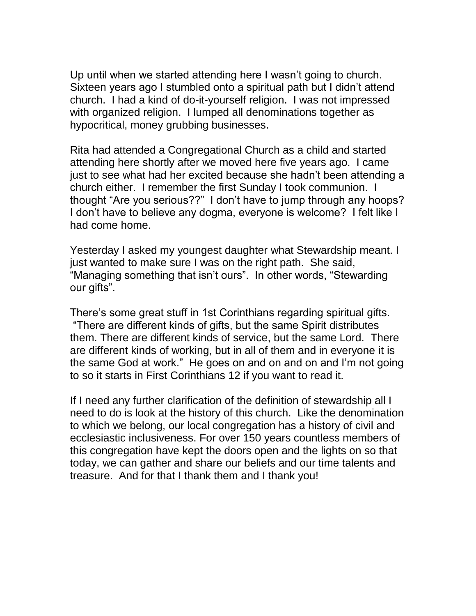Up until when we started attending here I wasn't going to church. Sixteen years ago I stumbled onto a spiritual path but I didn't attend church. I had a kind of do-it-yourself religion. I was not impressed with organized religion. I lumped all denominations together as hypocritical, money grubbing businesses.

Rita had attended a Congregational Church as a child and started attending here shortly after we moved here five years ago. I came just to see what had her excited because she hadn't been attending a church either. I remember the first Sunday I took communion. I thought "Are you serious??" I don't have to jump through any hoops? I don't have to believe any dogma, everyone is welcome? I felt like I had come home.

Yesterday I asked my youngest daughter what Stewardship meant. I just wanted to make sure I was on the right path. She said, "Managing something that isn't ours". In other words, "Stewarding our gifts".

There's some great stuff in 1st Corinthians regarding spiritual gifts. "There are different kinds of gifts, but the same Spirit distributes them. There are different kinds of service, but the same Lord. There are different kinds of working, but in all of them and in everyone it is the same God at work." He goes on and on and on and I'm not going to so it starts in First Corinthians 12 if you want to read it.

If I need any further clarification of the definition of stewardship all I need to do is look at the history of this church. Like the denomination to which we belong, our local congregation has a history of civil and ecclesiastic inclusiveness. For over 150 years countless members of this congregation have kept the doors open and the lights on so that today, we can gather and share our beliefs and our time talents and treasure. And for that I thank them and I thank you!